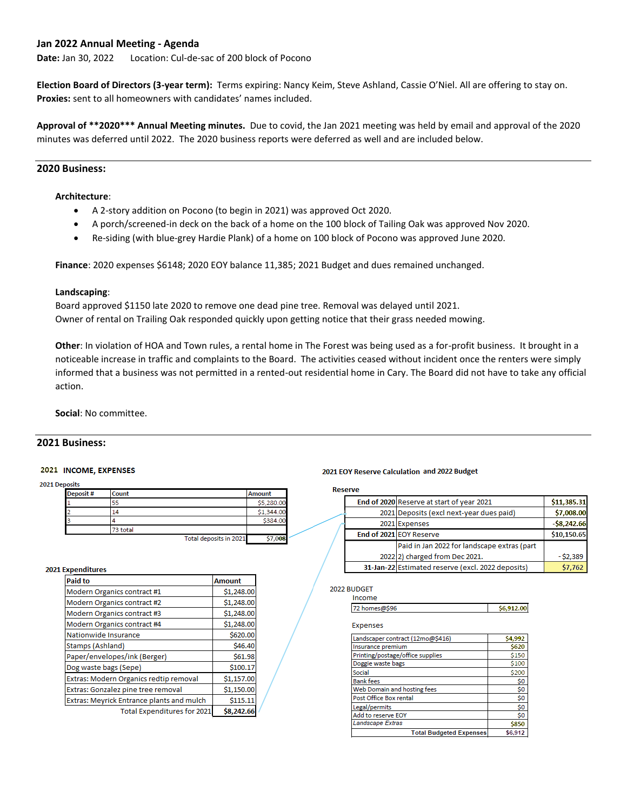## **Jan 2022 Annual Meeting - Agenda**

**Date:** Jan 30, 2022 Location: Cul-de-sac of 200 block of Pocono

**Election Board of Directors (3-year term):** Terms expiring: Nancy Keim, Steve Ashland, Cassie O'Niel. All are offering to stay on. **Proxies:** sent to all homeowners with candidates' names included.

**Approval of \*\*2020\*\*\* Annual Meeting minutes.** Due to covid, the Jan 2021 meeting was held by email and approval of the 2020 minutes was deferred until 2022. The 2020 business reports were deferred as well and are included below.

# **2020 Business:**

### **Architecture**:

- A 2-story addition on Pocono (to begin in 2021) was approved Oct 2020.
- A porch/screened-in deck on the back of a home on the 100 block of Tailing Oak was approved Nov 2020.
- Re-siding (with blue-grey Hardie Plank) of a home on 100 block of Pocono was approved June 2020.

**Finance**: 2020 expenses \$6148; 2020 EOY balance 11,385; 2021 Budget and dues remained unchanged.

### **Landscaping**:

Board approved \$1150 late 2020 to remove one dead pine tree. Removal was delayed until 2021. Owner of rental on Trailing Oak responded quickly upon getting notice that their grass needed mowing.

**Other**: In violation of HOA and Town rules, a rental home in The Forest was being used as a for-profit business. It brought in a noticeable increase in traffic and complaints to the Board. The activities ceased without incident once the renters were simply informed that a business was not permitted in a rented-out residential home in Cary. The Board did not have to take any official action.

**Social**: No committee.

## **2021 Business:**

### 2021 INCOME, EXPENSES

2021 Deposits

| Deposit # | Count    |                        | Amount     |
|-----------|----------|------------------------|------------|
|           | 55       |                        | \$5,280.00 |
| 2         | 14       |                        | \$1,344.00 |
| 3         |          |                        | \$384.00   |
|           | 73 total |                        |            |
|           |          | Total deposits in 2021 | \$7.008    |

#### 2021 Expenditures

| <b>Paid to</b>                            | <b>Amount</b> |
|-------------------------------------------|---------------|
| Modern Organics contract #1               | \$1,248.00    |
| Modern Organics contract #2               | \$1,248.00    |
| Modern Organics contract #3               | \$1,248.00    |
| Modern Organics contract #4               | \$1,248.00    |
| Nationwide Insurance                      | \$620.00      |
| Stamps (Ashland)                          | \$46.40       |
| Paper/envelopes/ink (Berger)              | \$61.98       |
| Dog waste bags (Sepe)                     | \$100.17      |
| Extras: Modern Organics redtip removal    | \$1,157.00    |
| Extras: Gonzalez pine tree removal        | \$1,150.00    |
| Extras: Meyrick Entrance plants and mulch | \$115.11      |
| <b>Total Expenditures for 2021</b>        | \$8,242.66    |

### 2021 EOY Reserve Calculation and 2022 Budget

**Reserve** 

|  |               | End of 2020 Reserve at start of year 2021         | \$11,385.31  |
|--|---------------|---------------------------------------------------|--------------|
|  |               | 2021 Deposits (excl next-year dues paid)          | \$7,008.00   |
|  | 2021 Expenses |                                                   | $-58,242.66$ |
|  |               | End of 2021 EOY Reserve                           | \$10,150.65  |
|  |               | Paid in Jan 2022 for landscape extras (part       |              |
|  |               | 2022 2) charged from Dec 2021.                    | - \$2,389    |
|  |               | 31-Jan-22 Estimated reserve (excl. 2022 deposits) | \$7,762      |

#### 2022 BUDGET Income

| .             |  |
|---------------|--|
| ie na<br>2 no |  |

Expenses

| Landscaper contract (12mo@\$416) | \$4,992 |
|----------------------------------|---------|
| Insurance premium                | \$620   |
| Printing/postage/office supplies | \$150   |
| Doggie waste bags                | \$100   |
| Social                           | \$200   |
| <b>Bank fees</b>                 | \$0     |
| Web Domain and hosting fees      | \$0     |
| Post Office Box rental           | \$0     |
| Legal/permits                    | \$0     |
| Add to reserve EOY               | \$0     |
| Landscape Extras                 | \$850   |
| <b>Total Budgeted Expenses</b>   | \$6,912 |